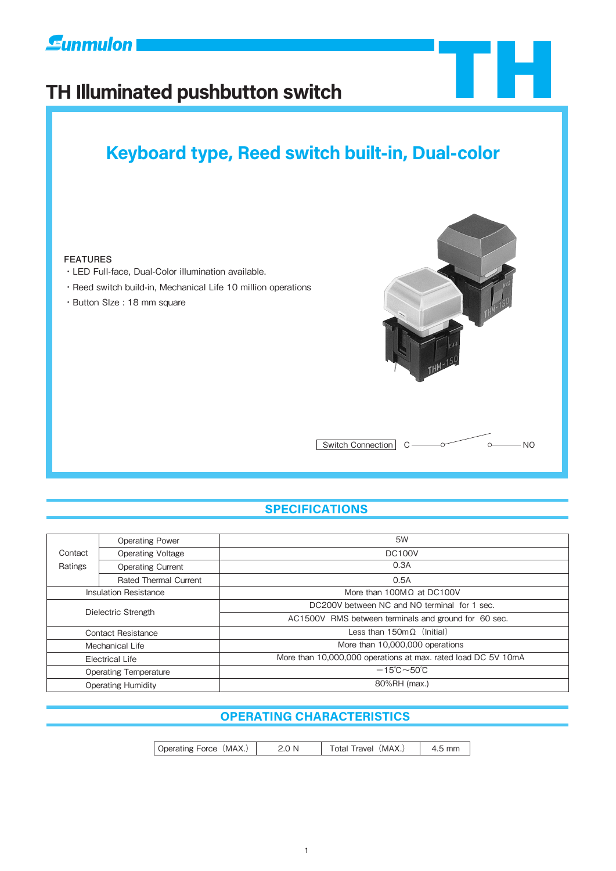

# **TH Illuminated pushbutton switch**

# **Keyboard type, Reed switch built-in, Dual-color**

#### **FEATURES**

- ・LED Full-face, Dual-Color illumination available.
- ・Reed switch build-in, Mechanical Life 10 million operations
- ・Button SIze : 18 mm square



TH

# **SPECIFICATIONS**

|                              | <b>Operating Power</b>       | 5W                                                            |  |
|------------------------------|------------------------------|---------------------------------------------------------------|--|
| Contact                      | <b>Operating Voltage</b>     | <b>DC100V</b>                                                 |  |
| Ratings                      | <b>Operating Current</b>     | 0.3A                                                          |  |
|                              | <b>Rated Thermal Current</b> | 0.5A                                                          |  |
| <b>Insulation Resistance</b> |                              | More than $100MQ$ at DC100V                                   |  |
| Dielectric Strength          |                              | DC200V between NC and NO terminal for 1 sec.                  |  |
|                              |                              | AC1500V RMS between terminals and ground for 60 sec.          |  |
| Contact Resistance           |                              | Less than $150 \text{m}\Omega$ (Initial)                      |  |
| Mechanical Life              |                              | More than 10,000,000 operations                               |  |
| <b>Electrical Life</b>       |                              | More than 10,000,000 operations at max. rated load DC 5V 10mA |  |
| <b>Operating Temperature</b> |                              | $-15^{\circ}$ C $\sim$ 50 $^{\circ}$ C                        |  |
| <b>Operating Humidity</b>    |                              | 80%RH (max.)                                                  |  |

## **OPERATING CHARACTERISTICS**

Operating Force (MAX.) 2.0 N | Total Travel (MAX.) | 4.5 mm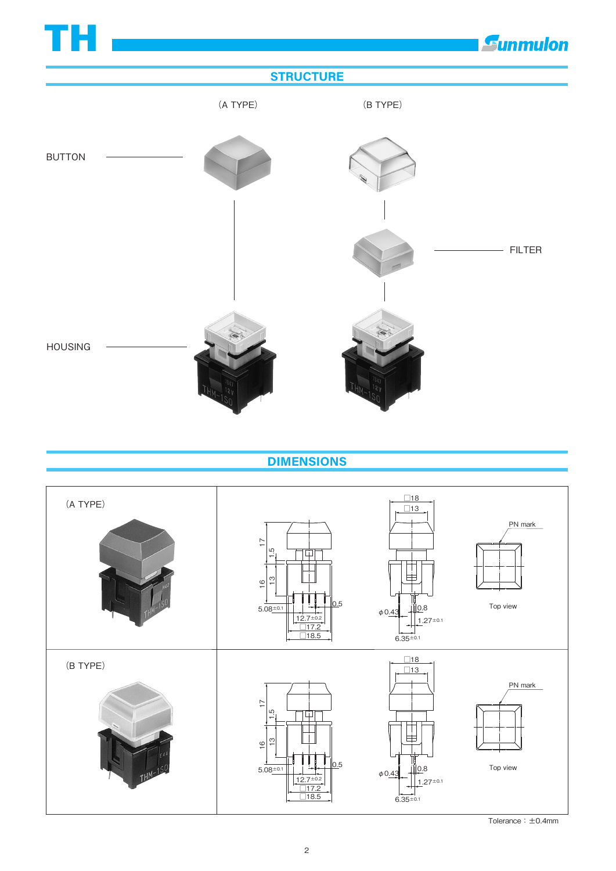

**DIMENSIONS**



Tolerance:±0.4mm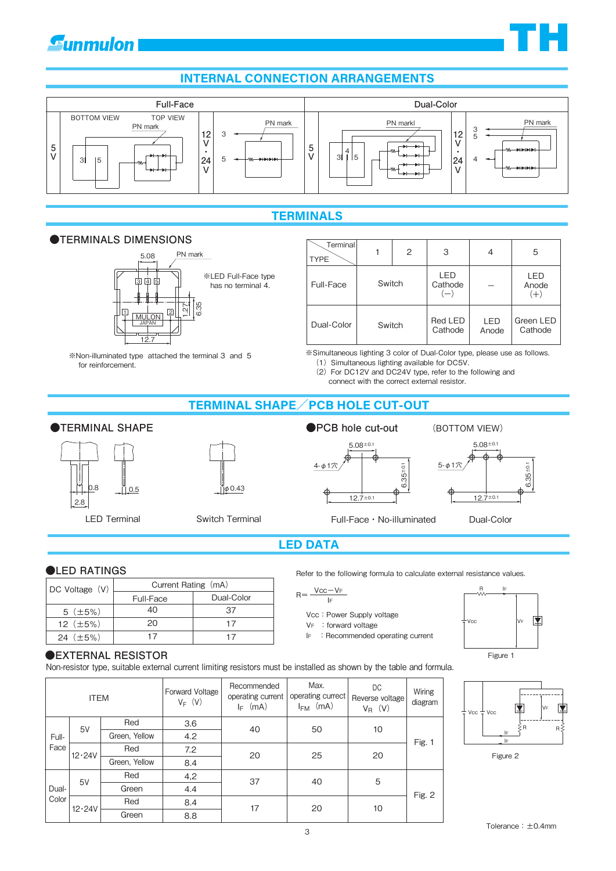# **Gunmulon**

# **INTERNAL CONNECTION ARRANGEMENTS**



## **TERMINALS**

#### **●TERMINALS DIMENSIONS**



※Non-illuminated type attached the terminal 3 and 5

| Terminal<br><b>TYPE</b> |        | 2                                   | 3                  | 4                     | 5                    |
|-------------------------|--------|-------------------------------------|--------------------|-----------------------|----------------------|
| Switch<br>Full-Face     |        | LED<br>Cathode<br>$\left( -\right)$ |                    | LED<br>Anode<br>$(+)$ |                      |
| Dual-Color              | Switch |                                     | Red LED<br>Cathode | LED<br>Anode          | Green LED<br>Cathode |

※Simultaneous lighting 3 color of Dual-Color type, please use as follows. (1) Simultaneous lighting available for DC5V.

- (2)For DC12V and DC24V type, refer to the following and connect with the correct external resistor.
- 

## **TERMINAL SHAPE**/**PCB HOLE CUT-OUT**

#### **●TERMINAL SHAPE**

for reinforcement.



 $0.5$   $\frac{\mu}{|\phi} 0.43$ 





# **LED DATA**

#### **●LED RATINGS**

| $DC$ Voltage $(V)$ | Current Rating (mA) |            |  |  |
|--------------------|---------------------|------------|--|--|
|                    | Full-Face           | Dual-Color |  |  |
| 5(.±5%)            | 40                  | 37         |  |  |
| 12 $(\pm 5\%)$     | 20                  | 17         |  |  |
| 24 $(\pm 5\%)$     | 17                  | 17         |  |  |

#### Refer to the following formula to calculate external resistance values.

#### $R = \frac{Vcc - VF}{Vc}$ IF

- Vcc: Power Supply voltage
- V<sub>F</sub> : forward voltage
- IF : Recommended operating current



Non-resistor type, suitable external current limiting resistors must be installed as shown by the table and formula.

| <b>ITEM</b>                   |             | Forward Voltage<br>$V_F$ (V) | Recommended<br>operating current<br>(mA)<br>le l | Max.<br>operating currect<br>(mA)<br><b>I<sub>FM</sub></b> | DC.<br>Reverse voltage<br>$V_R$ (V) | <b>Wiring</b><br>diagram |        |
|-------------------------------|-------------|------------------------------|--------------------------------------------------|------------------------------------------------------------|-------------------------------------|--------------------------|--------|
| 5V<br>Full-<br>Face<br>12.24V | Red         | 3.6                          | 40                                               | 50                                                         | 10                                  |                          |        |
|                               |             | Green, Yellow                | 4.2                                              |                                                            |                                     |                          | Fig. 1 |
|                               | Red         | 7.2                          | 20                                               | 25                                                         | 20                                  |                          |        |
|                               |             | Green, Yellow                | 8.4                                              |                                                            |                                     |                          |        |
|                               | 5V<br>Dual- | Red                          | 4,2                                              | 37                                                         | 40                                  | 5                        | Fig. 2 |
| Color                         |             | Green                        | 4.4                                              |                                                            |                                     |                          |        |
|                               | 12.24V      | Red                          | 8.4                                              | 17                                                         | 20                                  | 10                       |        |
|                               |             | Green                        | 8.8                                              |                                                            |                                     |                          |        |







**TH**

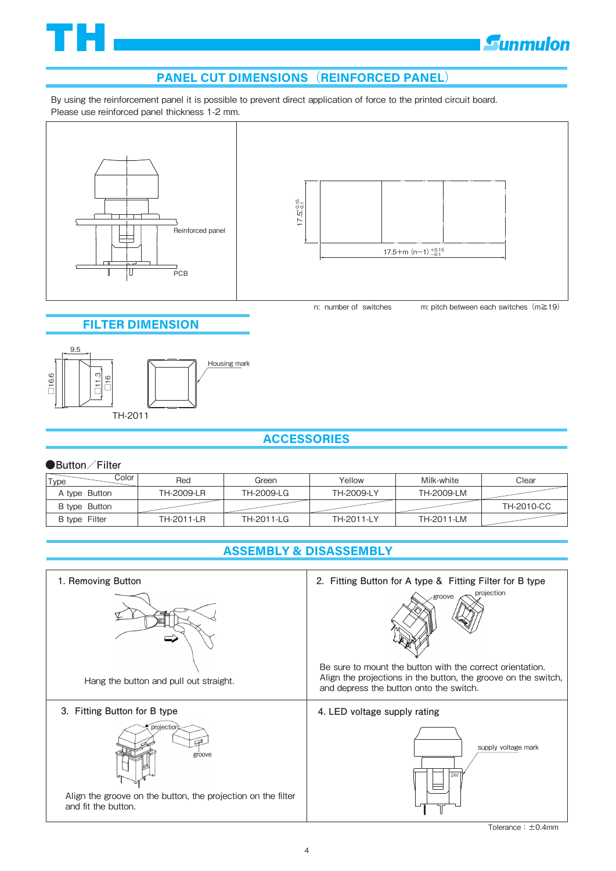

# **E**unmulon

# **PANEL CUT DIMENSIONS**(**REINFORCED PANEL**)

By using the reinforcement panel it is possible to prevent direct application of force to the printed circuit board. Please use reinforced panel thickness 1-2 mm.



#### **FILTER DIMENSION**



## **ACCESSORIES**

#### **●Button/Filter**

| Color<br>Type | Red        | Green      | Yellow     | Milk-white | Clear      |
|---------------|------------|------------|------------|------------|------------|
| A type Button | TH-2009-LR | TH-2009-LG | TH-2009-LY | TH-2009-LM |            |
| B type Button |            |            |            |            | TH-2010-CC |
| B type Filter | TH-2011-LR | TH-2011-LG | TH-2011-LY | TH-2011-LM |            |

# **ASSEMBLY & DISASSEMBLY**

| 1. Removing Button                                                                                          | 2. Fitting Button for A type & Fitting Filter for B type                                                                                                                                       |
|-------------------------------------------------------------------------------------------------------------|------------------------------------------------------------------------------------------------------------------------------------------------------------------------------------------------|
| Hang the button and pull out straight.                                                                      | projection<br>groove<br>Be sure to mount the button with the correct orientation.<br>Align the projections in the button, the groove on the switch,<br>and depress the button onto the switch. |
| 3. Fitting Button for B type                                                                                | 4. LED voltage supply rating                                                                                                                                                                   |
| projection<br>groove<br>Align the groove on the button, the projection on the filter<br>and fit the button. | supply voltage mark<br><b>24V</b>                                                                                                                                                              |

Tolerance:±0.4mm